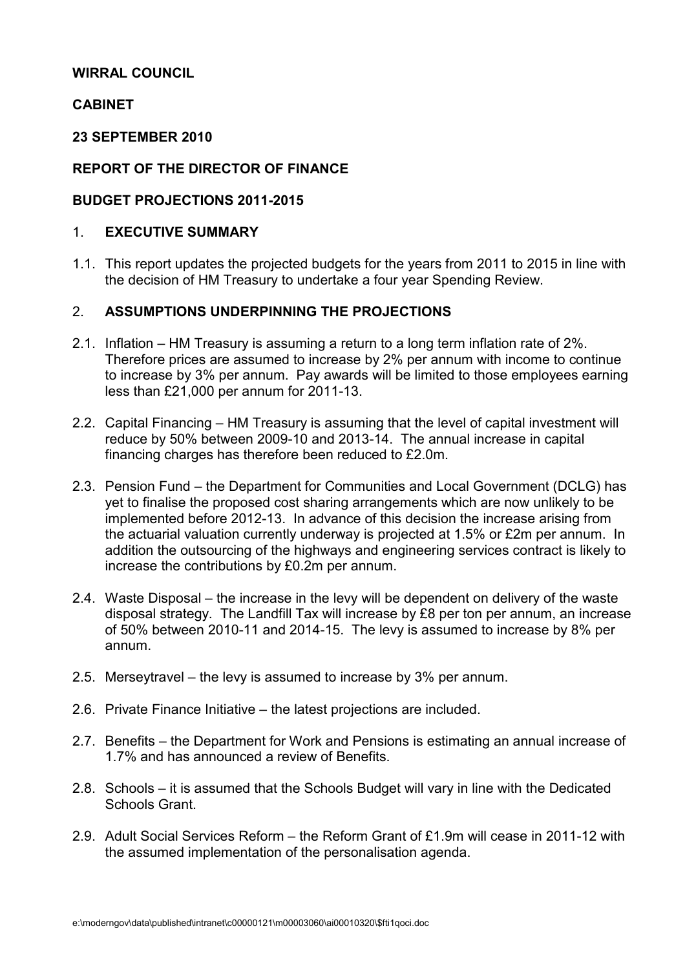#### WIRRAL COUNCIL

### **CABINET**

#### 23 SEPTEMBER 2010

# REPORT OF THE DIRECTOR OF FINANCE

### BUDGET PROJECTIONS 2011-2015

#### 1. EXECUTIVE SUMMARY

1.1. This report updates the projected budgets for the years from 2011 to 2015 in line with the decision of HM Treasury to undertake a four year Spending Review.

### 2. ASSUMPTIONS UNDERPINNING THE PROJECTIONS

- 2.1. Inflation HM Treasury is assuming a return to a long term inflation rate of 2%. Therefore prices are assumed to increase by 2% per annum with income to continue to increase by 3% per annum. Pay awards will be limited to those employees earning less than £21,000 per annum for 2011-13.
- 2.2. Capital Financing HM Treasury is assuming that the level of capital investment will reduce by 50% between 2009-10 and 2013-14. The annual increase in capital financing charges has therefore been reduced to £2.0m.
- 2.3. Pension Fund the Department for Communities and Local Government (DCLG) has yet to finalise the proposed cost sharing arrangements which are now unlikely to be implemented before 2012-13. In advance of this decision the increase arising from the actuarial valuation currently underway is projected at 1.5% or £2m per annum. In addition the outsourcing of the highways and engineering services contract is likely to increase the contributions by £0.2m per annum.
- 2.4. Waste Disposal the increase in the levy will be dependent on delivery of the waste disposal strategy. The Landfill Tax will increase by £8 per ton per annum, an increase of 50% between 2010-11 and 2014-15. The levy is assumed to increase by 8% per annum.
- 2.5. Merseytravel the levy is assumed to increase by 3% per annum.
- 2.6. Private Finance Initiative the latest projections are included.
- 2.7. Benefits the Department for Work and Pensions is estimating an annual increase of 1.7% and has announced a review of Benefits.
- 2.8. Schools it is assumed that the Schools Budget will vary in line with the Dedicated Schools Grant.
- 2.9. Adult Social Services Reform the Reform Grant of £1.9m will cease in 2011-12 with the assumed implementation of the personalisation agenda.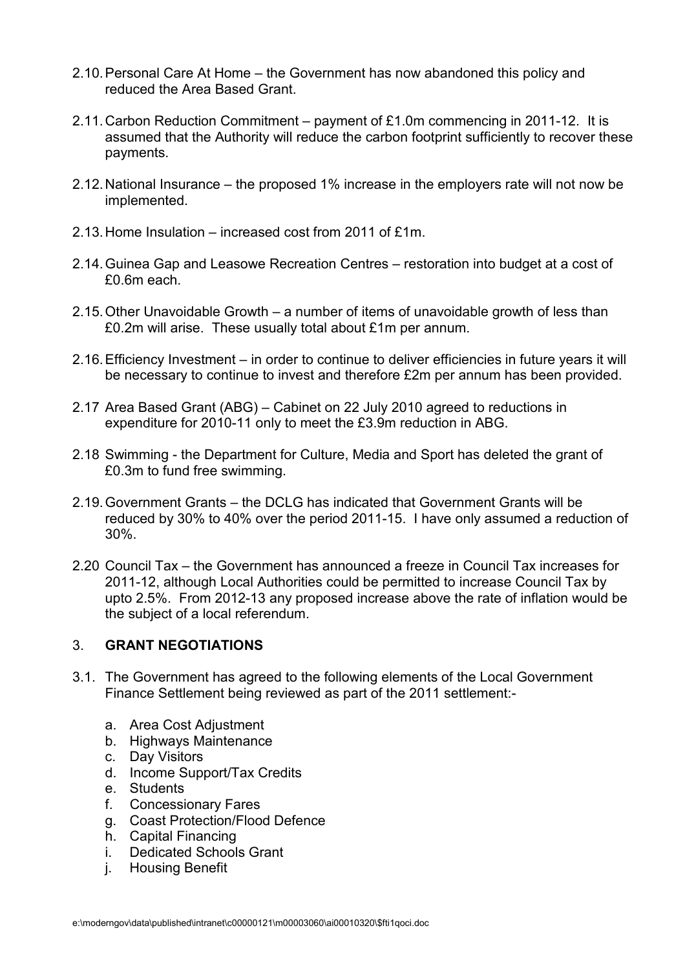- 2.10. Personal Care At Home the Government has now abandoned this policy and reduced the Area Based Grant.
- 2.11. Carbon Reduction Commitment payment of £1.0m commencing in 2011-12. It is assumed that the Authority will reduce the carbon footprint sufficiently to recover these payments.
- 2.12. National Insurance the proposed 1% increase in the employers rate will not now be implemented.
- 2.13. Home Insulation increased cost from 2011 of £1m.
- 2.14. Guinea Gap and Leasowe Recreation Centres restoration into budget at a cost of £0.6m each.
- 2.15. Other Unavoidable Growth a number of items of unavoidable growth of less than £0.2m will arise. These usually total about £1m per annum.
- 2.16. Efficiency Investment in order to continue to deliver efficiencies in future years it will be necessary to continue to invest and therefore £2m per annum has been provided.
- 2.17 Area Based Grant (ABG) Cabinet on 22 July 2010 agreed to reductions in expenditure for 2010-11 only to meet the £3.9m reduction in ABG.
- 2.18 Swimming the Department for Culture, Media and Sport has deleted the grant of £0.3m to fund free swimming.
- 2.19. Government Grants the DCLG has indicated that Government Grants will be reduced by 30% to 40% over the period 2011-15. I have only assumed a reduction of 30%.
- 2.20 Council Tax the Government has announced a freeze in Council Tax increases for 2011-12, although Local Authorities could be permitted to increase Council Tax by upto 2.5%. From 2012-13 any proposed increase above the rate of inflation would be the subject of a local referendum.

#### 3. GRANT NEGOTIATIONS

- 3.1. The Government has agreed to the following elements of the Local Government Finance Settlement being reviewed as part of the 2011 settlement:
	- a. Area Cost Adjustment
	- b. Highways Maintenance
	- c. Day Visitors
	- d. Income Support/Tax Credits
	- e. Students
	- f. Concessionary Fares
	- g. Coast Protection/Flood Defence
	- h. Capital Financing
	- i. Dedicated Schools Grant
	- j. Housing Benefit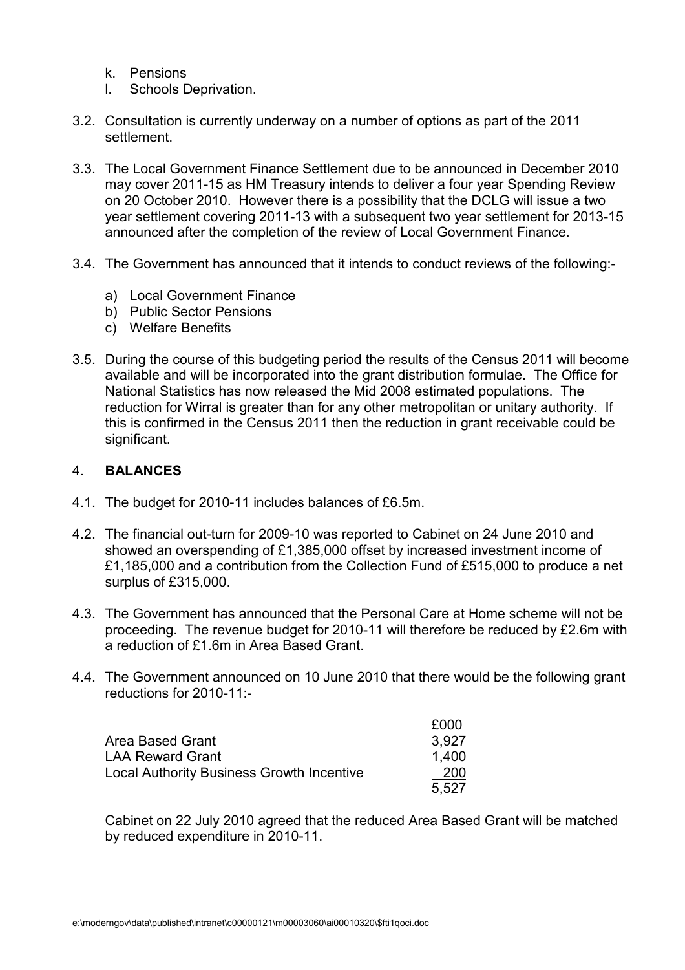- k. Pensions
- l. Schools Deprivation.
- 3.2. Consultation is currently underway on a number of options as part of the 2011 settlement.
- 3.3. The Local Government Finance Settlement due to be announced in December 2010 may cover 2011-15 as HM Treasury intends to deliver a four year Spending Review on 20 October 2010. However there is a possibility that the DCLG will issue a two year settlement covering 2011-13 with a subsequent two year settlement for 2013-15 announced after the completion of the review of Local Government Finance.
- 3.4. The Government has announced that it intends to conduct reviews of the following:
	- a) Local Government Finance
	- b) Public Sector Pensions
	- c) Welfare Benefits
- 3.5. During the course of this budgeting period the results of the Census 2011 will become available and will be incorporated into the grant distribution formulae. The Office for National Statistics has now released the Mid 2008 estimated populations. The reduction for Wirral is greater than for any other metropolitan or unitary authority. If this is confirmed in the Census 2011 then the reduction in grant receivable could be significant.

#### 4. BALANCES

- 4.1. The budget for 2010-11 includes balances of £6.5m.
- 4.2. The financial out-turn for 2009-10 was reported to Cabinet on 24 June 2010 and showed an overspending of £1,385,000 offset by increased investment income of £1,185,000 and a contribution from the Collection Fund of £515,000 to produce a net surplus of £315,000.
- 4.3. The Government has announced that the Personal Care at Home scheme will not be proceeding. The revenue budget for 2010-11 will therefore be reduced by £2.6m with a reduction of £1.6m in Area Based Grant.
- 4.4. The Government announced on 10 June 2010 that there would be the following grant reductions for 2010-11:-

|                                                  | £000  |
|--------------------------------------------------|-------|
| Area Based Grant                                 | 3.927 |
| <b>LAA Reward Grant</b>                          | 1.400 |
| <b>Local Authority Business Growth Incentive</b> | 200   |
|                                                  | 5.527 |

 Cabinet on 22 July 2010 agreed that the reduced Area Based Grant will be matched by reduced expenditure in 2010-11.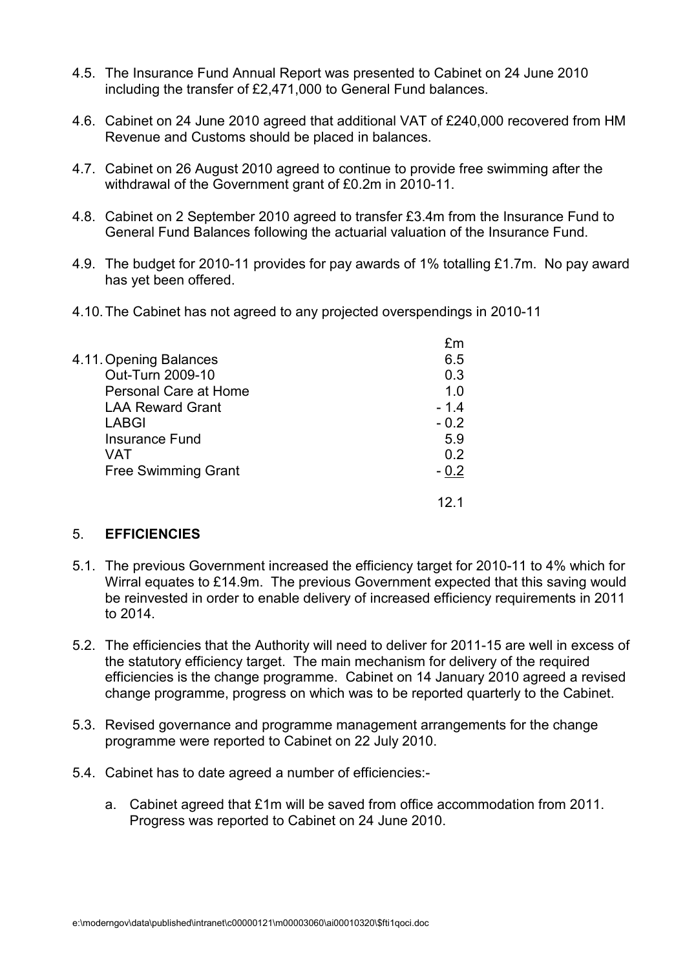- 4.5. The Insurance Fund Annual Report was presented to Cabinet on 24 June 2010 including the transfer of £2,471,000 to General Fund balances.
- 4.6. Cabinet on 24 June 2010 agreed that additional VAT of £240,000 recovered from HM Revenue and Customs should be placed in balances.
- 4.7. Cabinet on 26 August 2010 agreed to continue to provide free swimming after the withdrawal of the Government grant of £0.2m in 2010-11.
- 4.8. Cabinet on 2 September 2010 agreed to transfer £3.4m from the Insurance Fund to General Fund Balances following the actuarial valuation of the Insurance Fund.
- 4.9. The budget for 2010-11 provides for pay awards of 1% totalling £1.7m. No pay award has yet been offered.
- 4.10. The Cabinet has not agreed to any projected overspendings in 2010-11

|                            | fm     |
|----------------------------|--------|
| 4.11. Opening Balances     | 6.5    |
| Out-Turn 2009-10           | 0.3    |
| Personal Care at Home      | 1.0    |
| <b>LAA Reward Grant</b>    | $-1.4$ |
| <b>LABGI</b>               | $-0.2$ |
| <b>Insurance Fund</b>      | 5.9    |
| VAT                        | 0.2    |
| <b>Free Swimming Grant</b> | $-0.2$ |
|                            |        |

#### 5. EFFICIENCIES

- 5.1. The previous Government increased the efficiency target for 2010-11 to 4% which for Wirral equates to £14.9m. The previous Government expected that this saving would be reinvested in order to enable delivery of increased efficiency requirements in 2011 to 2014.
- 5.2. The efficiencies that the Authority will need to deliver for 2011-15 are well in excess of the statutory efficiency target. The main mechanism for delivery of the required efficiencies is the change programme. Cabinet on 14 January 2010 agreed a revised change programme, progress on which was to be reported quarterly to the Cabinet.
- 5.3. Revised governance and programme management arrangements for the change programme were reported to Cabinet on 22 July 2010.
- 5.4. Cabinet has to date agreed a number of efficiencies:
	- a. Cabinet agreed that £1m will be saved from office accommodation from 2011. Progress was reported to Cabinet on 24 June 2010.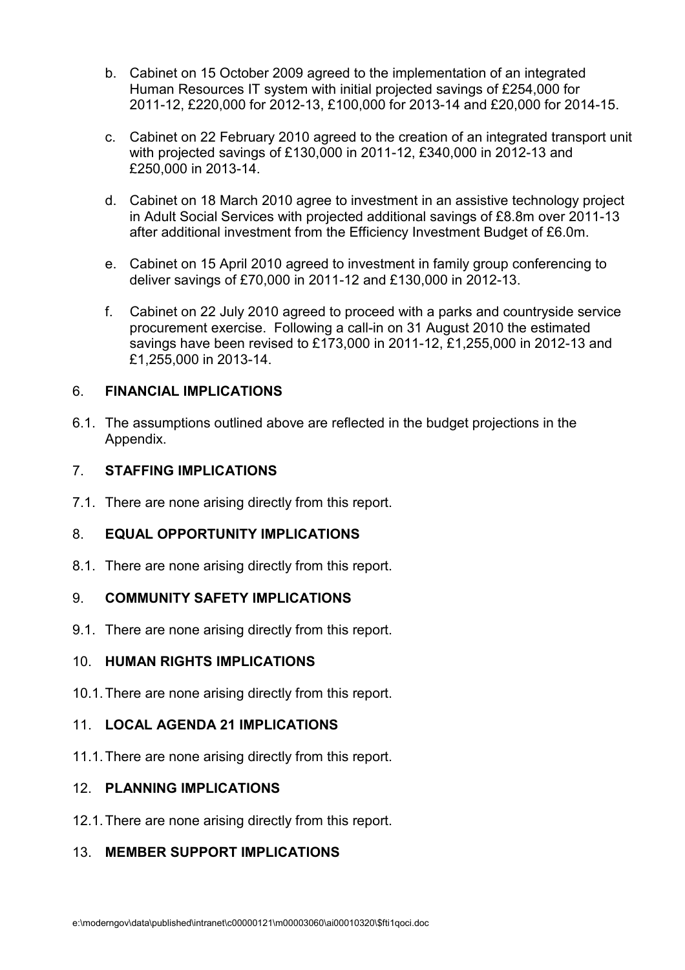- b. Cabinet on 15 October 2009 agreed to the implementation of an integrated Human Resources IT system with initial projected savings of £254,000 for 2011-12, £220,000 for 2012-13, £100,000 for 2013-14 and £20,000 for 2014-15.
- c. Cabinet on 22 February 2010 agreed to the creation of an integrated transport unit with projected savings of £130,000 in 2011-12, £340,000 in 2012-13 and £250,000 in 2013-14.
- d. Cabinet on 18 March 2010 agree to investment in an assistive technology project in Adult Social Services with projected additional savings of £8.8m over 2011-13 after additional investment from the Efficiency Investment Budget of £6.0m.
- e. Cabinet on 15 April 2010 agreed to investment in family group conferencing to deliver savings of £70,000 in 2011-12 and £130,000 in 2012-13.
- f. Cabinet on 22 July 2010 agreed to proceed with a parks and countryside service procurement exercise. Following a call-in on 31 August 2010 the estimated savings have been revised to £173,000 in 2011-12, £1,255,000 in 2012-13 and £1,255,000 in 2013-14.

# 6. FINANCIAL IMPLICATIONS

6.1. The assumptions outlined above are reflected in the budget projections in the Appendix.

# 7. STAFFING IMPLICATIONS

7.1. There are none arising directly from this report.

# 8. EQUAL OPPORTUNITY IMPLICATIONS

8.1. There are none arising directly from this report.

# 9. COMMUNITY SAFETY IMPLICATIONS

9.1. There are none arising directly from this report.

# 10. HUMAN RIGHTS IMPLICATIONS

10.1. There are none arising directly from this report.

# 11. LOCAL AGENDA 21 IMPLICATIONS

11.1. There are none arising directly from this report.

# 12. PLANNING IMPLICATIONS

12.1. There are none arising directly from this report.

# 13. MEMBER SUPPORT IMPLICATIONS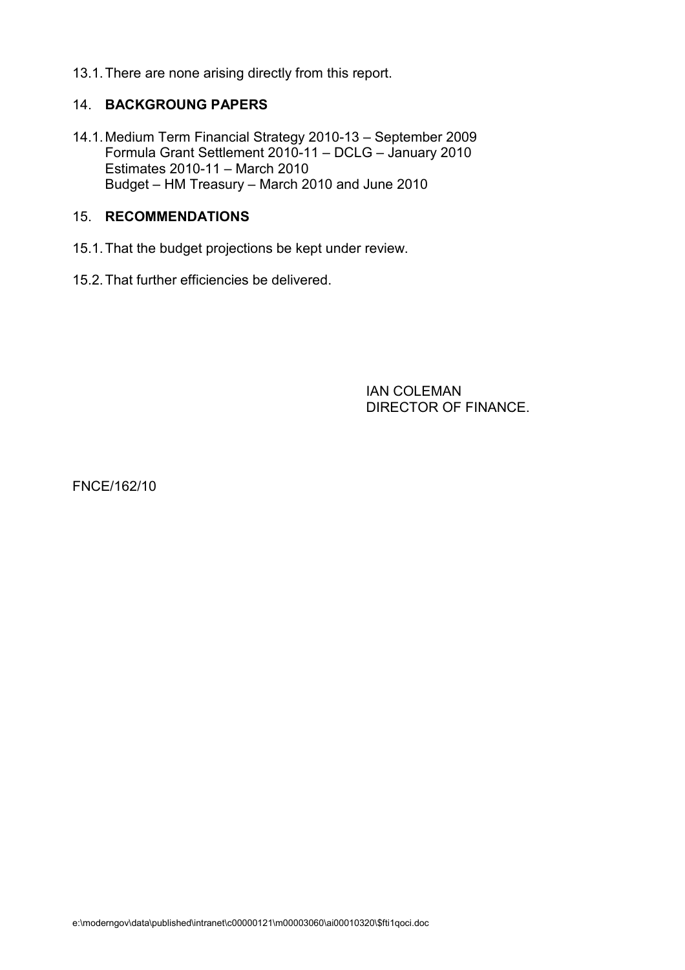13.1. There are none arising directly from this report.

#### 14. BACKGROUNG PAPERS

14.1. Medium Term Financial Strategy 2010-13 – September 2009 Formula Grant Settlement 2010-11 – DCLG – January 2010 Estimates 2010-11 – March 2010 Budget – HM Treasury – March 2010 and June 2010

#### 15. RECOMMENDATIONS

- 15.1. That the budget projections be kept under review.
- 15.2. That further efficiencies be delivered.

 IAN COLEMAN DIRECTOR OF FINANCE.

FNCE/162/10